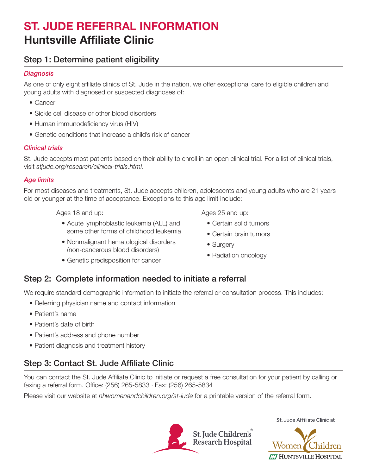# ST. JUDE REFERRAL INFORMATION Huntsville Affiliate Clinic

### Step 1: Determine patient eligibility

#### *Diagnosis*

As one of only eight affiliate clinics of St. Jude in the nation, we offer exceptional care to eligible children and young adults with diagnosed or suspected diagnoses of:

- Cancer
- Sickle cell disease or other blood disorders
- Human immunodeficiency virus (HIV)
- Genetic conditions that increase a child's risk of cancer

#### *Clinical trials*

St. Jude accepts most patients based on their ability to enroll in an open clinical trial. For a list of clinical trials, visit *stjude.org/research/clinical-trials.html*.

#### *Age limits*

For most diseases and treatments, St. Jude accepts children, adolescents and young adults who are 21 years old or younger at the time of acceptance. Exceptions to this age limit include:

Ages 18 and up:

- Acute lymphoblastic leukemia (ALL) and some other forms of childhood leukemia
- Nonmalignant hematological disorders (non-cancerous blood disorders)
- Genetic predisposition for cancer

Ages 25 and up:

- Certain solid tumors
- Certain brain tumors
- Surgery
- Radiation oncology

#### Step 2: Complete information needed to initiate a referral

We require standard demographic information to initiate the referral or consultation process. This includes:

- Referring physician name and contact information
- Patient's name
- Patient's date of birth
- Patient's address and phone number
- Patient diagnosis and treatment history

## Step 3: Contact St. Jude Affiliate Clinic

You can contact the St. Jude Affiliate Clinic to initiate or request a free consultation for your patient by calling or faxing a referral form. Office: (256) 265-5833 · Fax: (256) 265-5834

Please visit our website at *hhwomenandchildren.org/st-jude* for a printable version of the referral form.



St. Jude Affiliate Clinic at